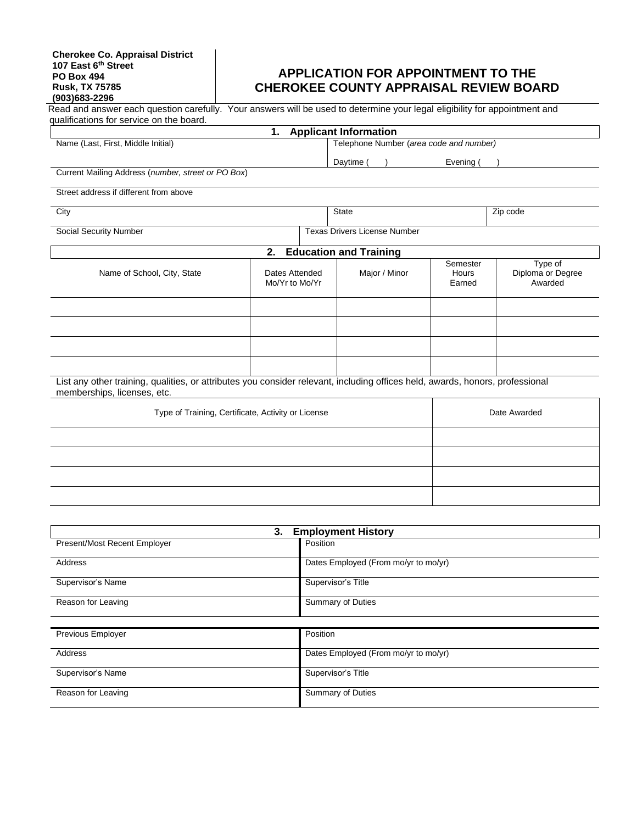# **APPLICATION FOR APPOINTMENT TO THE CHEROKEE COUNTY APPRAISAL REVIEW BOARD**

|                                                                                                                                                              |                                                    | 1. Applicant Information                |                             |                                         |
|--------------------------------------------------------------------------------------------------------------------------------------------------------------|----------------------------------------------------|-----------------------------------------|-----------------------------|-----------------------------------------|
| Name (Last, First, Middle Initial)                                                                                                                           |                                                    | Telephone Number (area code and number) |                             |                                         |
|                                                                                                                                                              |                                                    | Daytime (                               | Evening (                   |                                         |
| Current Mailing Address (number, street or PO Box)                                                                                                           |                                                    |                                         |                             |                                         |
| Street address if different from above                                                                                                                       |                                                    |                                         |                             |                                         |
| City                                                                                                                                                         |                                                    | <b>State</b>                            |                             | Zip code                                |
| <b>Social Security Number</b>                                                                                                                                |                                                    | <b>Texas Drivers License Number</b>     |                             |                                         |
|                                                                                                                                                              | 2.                                                 | <b>Education and Training</b>           |                             |                                         |
| Name of School, City, State                                                                                                                                  | Dates Attended<br>Mo/Yr to Mo/Yr                   | Major / Minor                           | Semester<br>Hours<br>Earned | Type of<br>Diploma or Degree<br>Awarded |
|                                                                                                                                                              |                                                    |                                         |                             |                                         |
|                                                                                                                                                              |                                                    |                                         |                             |                                         |
|                                                                                                                                                              |                                                    |                                         |                             |                                         |
|                                                                                                                                                              |                                                    |                                         |                             |                                         |
|                                                                                                                                                              |                                                    |                                         |                             |                                         |
| List any other training, qualities, or attributes you consider relevant, including offices held, awards, honors, professional<br>memberships, licenses, etc. |                                                    |                                         |                             |                                         |
|                                                                                                                                                              | Type of Training, Certificate, Activity or License |                                         |                             | Date Awarded                            |
|                                                                                                                                                              |                                                    |                                         |                             |                                         |
|                                                                                                                                                              |                                                    |                                         |                             |                                         |
|                                                                                                                                                              |                                                    |                                         |                             |                                         |
|                                                                                                                                                              |                                                    |                                         |                             |                                         |
|                                                                                                                                                              |                                                    |                                         |                             |                                         |
|                                                                                                                                                              | 3.                                                 | <b>Employment History</b>               |                             |                                         |

| v.<br><b>ERPLANDING LIBRARY</b> |                                      |  |  |
|---------------------------------|--------------------------------------|--|--|
| Present/Most Recent Employer    | Position                             |  |  |
| Address                         | Dates Employed (From mo/yr to mo/yr) |  |  |
| Supervisor's Name               | Supervisor's Title                   |  |  |
| Reason for Leaving              | <b>Summary of Duties</b>             |  |  |
|                                 |                                      |  |  |
| Previous Employer               | Position                             |  |  |
| Address                         | Dates Employed (From mo/yr to mo/yr) |  |  |
| Supervisor's Name               | Supervisor's Title                   |  |  |
| Reason for Leaving              | Summary of Duties                    |  |  |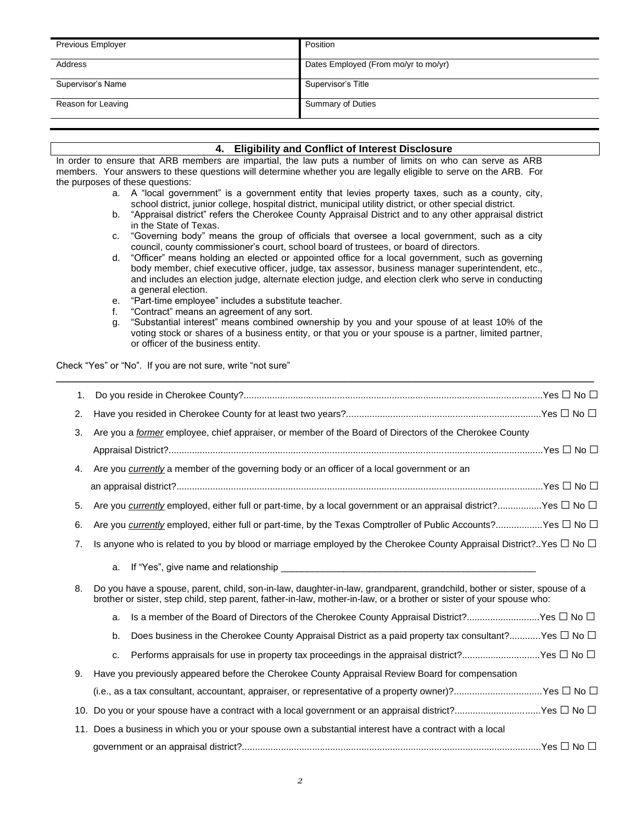| Previous Employer  | Position                             |
|--------------------|--------------------------------------|
| Address            | Dates Employed (From mo/yr to mo/yr) |
| Supervisor's Name  | Supervisor's Title                   |
| Reason for Leaving | <b>Summary of Duties</b>             |

## **4. Eligibility and Conflict of Interest Disclosure**

In order to ensure that ARB members are impartial, the law puts a number of limits on who can serve as ARB members. Your answers to these questions will determine whether you are legally eligible to serve on the ARB. For the purposes of these questions:

- a. A "local government" is a government entity that levies property taxes, such as a county, city, school district, junior college, hospital district, municipal utility district, or other special district.
- b. "Appraisal district" refers the Cherokee County Appraisal District and to any other appraisal district in the State of Texas.
- c. "Governing body" means the group of officials that oversee a local government, such as a city council, county commissioner's court, school board of trustees, or board of directors.
- d. "Officer" means holding an elected or appointed office for a local government, such as governing body member, chief executive officer, judge, tax assessor, business manager superintendent, etc., and includes an election judge, alternate election judge, and election clerk who serve in conducting a general election.
- e. "Part-time employee" includes a substitute teacher.
- f. "Contract" means an agreement of any sort.
- g. "Substantial interest" means combined ownership by you and your spouse of at least 10% of the voting stock or shares of a business entity, or that you or your spouse is a partner, limited partner, or officer of the business entity.

\_\_\_\_\_\_\_\_\_\_\_\_\_\_\_\_\_\_\_\_\_\_\_\_\_\_\_\_\_\_\_\_\_\_\_\_\_\_\_\_\_\_\_\_\_\_\_\_\_\_\_\_\_\_\_\_\_\_\_\_\_\_\_\_\_\_\_\_\_\_\_\_\_\_\_\_\_\_\_\_\_\_\_\_\_\_\_\_\_\_\_\_\_

Check "Yes" or "No". If you are not sure, write "not sure"

| 1. |                                                                                                                                                                                                                                                  |  |
|----|--------------------------------------------------------------------------------------------------------------------------------------------------------------------------------------------------------------------------------------------------|--|
| 2. |                                                                                                                                                                                                                                                  |  |
| 3. | Are you a former employee, chief appraiser, or member of the Board of Directors of the Cherokee County                                                                                                                                           |  |
|    |                                                                                                                                                                                                                                                  |  |
| 4. | Are you currently a member of the governing body or an officer of a local government or an                                                                                                                                                       |  |
|    |                                                                                                                                                                                                                                                  |  |
| 5. | Are you currently employed, either full or part-time, by a local government or an appraisal district?Yes □ No □                                                                                                                                  |  |
| 6. | Are you currently employed, either full or part-time, by the Texas Comptroller of Public Accounts?Yes □ No □                                                                                                                                     |  |
| 7. | Is anyone who is related to you by blood or marriage employed by the Cherokee County Appraisal District?Yes $\Box$ No $\Box$                                                                                                                     |  |
|    | a.                                                                                                                                                                                                                                               |  |
| 8. | Do you have a spouse, parent, child, son-in-law, daughter-in-law, grandparent, grandchild, bother or sister, spouse of a<br>brother or sister, step child, step parent, father-in-law, mother-in-law, or a brother or sister of your spouse who: |  |
|    | Is a member of the Board of Directors of the Cherokee County Appraisal District?Yes □ No □<br>a.                                                                                                                                                 |  |
|    | Does business in the Cherokee County Appraisal District as a paid property tax consultant?Yes $\Box$ No $\Box$<br>b.                                                                                                                             |  |
|    | Performs appraisals for use in property tax proceedings in the appraisal district?Yes $\Box$ No $\Box$<br>c.                                                                                                                                     |  |
| 9. | Have you previously appeared before the Cherokee County Appraisal Review Board for compensation                                                                                                                                                  |  |
|    | (i.e., as a tax consultant, accountant, appraiser, or representative of a property owner)?Yes $\Box$ No $\Box$                                                                                                                                   |  |
|    | 10. Do you or your spouse have a contract with a local government or an appraisal district?Yes $\Box$ No $\Box$                                                                                                                                  |  |
|    | 11. Does a business in which you or your spouse own a substantial interest have a contract with a local                                                                                                                                          |  |
|    |                                                                                                                                                                                                                                                  |  |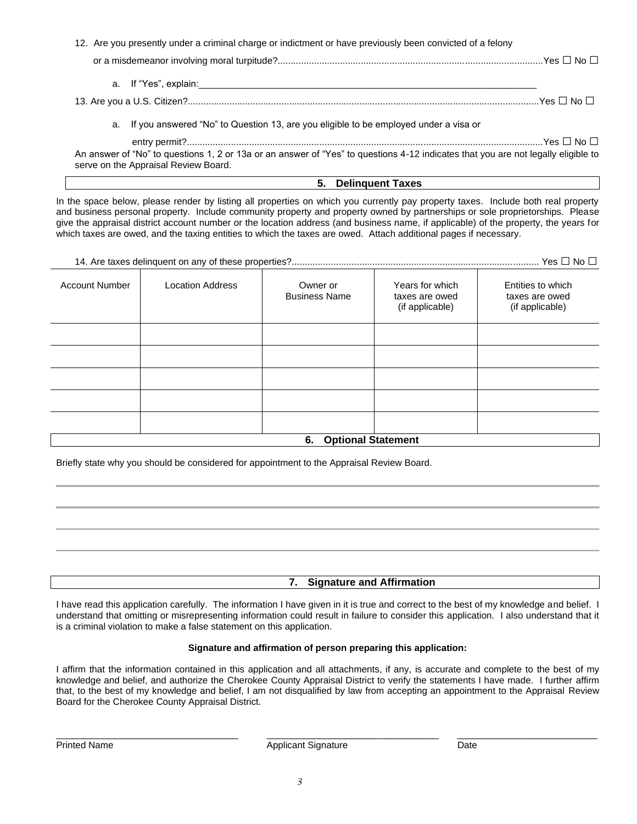| 12. Are you presently under a criminal charge or indictment or have previously been convicted of a felony |  |
|-----------------------------------------------------------------------------------------------------------|--|
|                                                                                                           |  |
| a. If "Yes", explain:                                                                                     |  |

13. Are you a U.S. Citizen?.......................................................................................................................................Yes □ No □

a. If you answered "No" to Question 13, are you eligible to be employed under a visa or

entry permit?.........................................................................................................................................Yes □ No □

An answer of "No" to questions 1, 2 or 13a or an answer of "Yes" to questions 4-12 indicates that you are not legally eligible to serve on the Appraisal Review Board.

### **5. Delinquent Taxes**

In the space below, please render by listing all properties on which you currently pay property taxes. Include both real property and business personal property. Include community property and property owned by partnerships or sole proprietorships. Please give the appraisal district account number or the location address (and business name, if applicable) of the property, the years for which taxes are owed, and the taxing entities to which the taxes are owed. Attach additional pages if necessary.

| 14. Are taxes delinquent on any of these properties?…………………………………………………………………………………………… Yes □ No □ |
|----------------------------------------------------------------------------------------------------|
|----------------------------------------------------------------------------------------------------|

| <b>Account Number</b> | <b>Location Address</b> | Owner or<br><b>Business Name</b> | Years for which<br>taxes are owed<br>(if applicable) | Entities to which<br>taxes are owed<br>(if applicable) |
|-----------------------|-------------------------|----------------------------------|------------------------------------------------------|--------------------------------------------------------|
|                       |                         |                                  |                                                      |                                                        |
|                       |                         |                                  |                                                      |                                                        |
|                       |                         |                                  |                                                      |                                                        |
|                       |                         |                                  |                                                      |                                                        |
|                       |                         |                                  |                                                      |                                                        |
|                       |                         | 6. Optional Statement            |                                                      |                                                        |

Briefly state why you should be considered for appointment to the Appraisal Review Board.

**7. Signature and Affirmation**

I have read this application carefully. The information I have given in it is true and correct to the best of my knowledge and belief. I understand that omitting or misrepresenting information could result in failure to consider this application. I also understand that it is a criminal violation to make a false statement on this application.

#### **Signature and affirmation of person preparing this application:**

I affirm that the information contained in this application and all attachments, if any, is accurate and complete to the best of my knowledge and belief, and authorize the Cherokee County Appraisal District to verify the statements I have made. I further affirm that, to the best of my knowledge and belief, I am not disqualified by law from accepting an appointment to the Appraisal Review Board for the Cherokee County Appraisal District.

\_\_\_\_\_\_\_\_\_\_\_\_\_\_\_\_\_\_\_\_\_\_\_\_\_\_\_\_\_\_\_\_\_\_\_ \_\_\_\_\_\_\_\_\_\_\_\_\_\_\_\_\_\_\_\_\_\_\_\_\_\_\_\_\_\_\_\_\_ \_\_\_\_\_\_\_\_\_\_\_\_\_\_\_\_\_\_\_\_\_\_\_\_\_\_\_